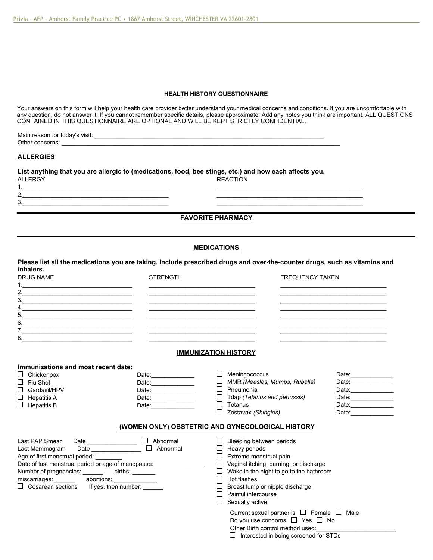## **HEALTH HISTORY QUESTIONNAIRE**

Your answers on this form will help your health care provider better understand your medical concerns and conditions. If you are uncomfortable with any question, do not answer it. If you cannot remember specific details, please approximate. Add any notes you think are important. ALL QUESTIONS CONTAINED IN THIS QUESTIONNAIRE ARE OPTIONAL AND WILL BE KEPT STRICTLY CONFIDENTIAL.

| .<br>Visit<br>aıı<br>TOI<br>IVІ<br>00<br>.<br>__<br>$\begin{array}{cccccccccccccc} \multicolumn{4}{c}{} & \multicolumn{4}{c}{} & \multicolumn{4}{c}{} & \multicolumn{4}{c}{} & \multicolumn{4}{c}{} & \multicolumn{4}{c}{} & \multicolumn{4}{c}{} & \multicolumn{4}{c}{} & \multicolumn{4}{c}{} & \multicolumn{4}{c}{} & \multicolumn{4}{c}{} & \multicolumn{4}{c}{} & \multicolumn{4}{c}{} & \multicolumn{4}{c}{} & \multicolumn{4}{c}{} & \multicolumn{4}{c}{} & \multicolumn{4}{c}{} & \multicolumn{4}{c}{} & \multicolumn{4}{c}{} & \$ |  |
|--------------------------------------------------------------------------------------------------------------------------------------------------------------------------------------------------------------------------------------------------------------------------------------------------------------------------------------------------------------------------------------------------------------------------------------------------------------------------------------------------------------------------------------------|--|
| าn≀                                                                                                                                                                                                                                                                                                                                                                                                                                                                                                                                        |  |

# **ALLERGIES**

2. 3.\_\_\_\_\_\_\_\_\_\_\_\_\_\_\_\_\_\_\_\_\_\_\_\_\_\_\_\_\_\_\_\_\_\_\_\_\_\_\_\_\_\_\_\_

| List anything that you are allergic to (medications, food, bee stings, etc.) and how each affects you. |                 |  |  |  |  |
|--------------------------------------------------------------------------------------------------------|-----------------|--|--|--|--|
| <b>ALLERGY</b>                                                                                         | <b>REACTION</b> |  |  |  |  |
|                                                                                                        |                 |  |  |  |  |

# **FAVORITE PHARMACY**

## **MEDICATIONS**

**Please list all the medications you are taking. Include prescribed drugs and over-the-counter drugs, such as vitamins and inhalers.** DRUG NAME **STRENGTH** FREQUENCY TAKEN

| <b>UNUU UNUUL</b> | <b>UIILIVUIII</b> | TINLQULINUT TANLIN |
|-------------------|-------------------|--------------------|
|                   |                   |                    |
| າ                 |                   |                    |
| 3.                |                   |                    |
| 4                 |                   |                    |
| 5.                |                   |                    |
| 6.                |                   |                    |
|                   |                   |                    |
| -8.               |                   |                    |
|                   |                   |                    |

#### **IMMUNIZATION HISTORY**

| $\Box$ Chickenpox   | Date: | Meningococcus                       | Date: |
|---------------------|-------|-------------------------------------|-------|
| $\Box$ Flu Shot     | Date: | MMR (Measles, Mumps, Rubella)<br>П. | Date: |
| $\Box$ Gardasil/HPV | Date: | Pneumonia                           | Date: |
| $\Box$ Hepatitis A  | Date: | $\Box$ Tdap (Tetanus and pertussis) | Date: |
| $\Box$ Hepatitis B  | Date: | Tetanus                             | Date: |
|                     |       | $\Box$ Zostavax (Shingles)          | Date: |

| Last PAP Smear<br>Date<br>Last Mammogram<br>Date<br>Age of first menstrual period:<br>Date of last menstrual period or age of menopause:<br>Number of pregnancies:<br>births:<br>miscarriages:<br>abortions:<br>$\Box$ Cesarean sections<br>If yes, then number: | Abnormal<br>ப<br>Abnormal | Bleeding between periods<br>Heavy periods<br>Extreme menstrual pain<br>Vaginal itching, burning, or discharge<br>Wake in the night to go to the bathroom<br>ப<br>Hot flashes<br>Breast lump or nipple discharge<br>Ш<br>Painful intercourse<br>$\Box$ Sexually active |
|------------------------------------------------------------------------------------------------------------------------------------------------------------------------------------------------------------------------------------------------------------------|---------------------------|-----------------------------------------------------------------------------------------------------------------------------------------------------------------------------------------------------------------------------------------------------------------------|
|                                                                                                                                                                                                                                                                  |                           | Current sexual partner is $\Box$ Female $\Box$<br>Male<br>Do you use condoms $\Box$ Yes $\Box$ No<br>Other Birth control method used:                                                                                                                                 |

|  | $\Box$ Interested in being screened for STDs |  |  |  |  |  |
|--|----------------------------------------------|--|--|--|--|--|
|--|----------------------------------------------|--|--|--|--|--|

\_\_\_\_\_\_\_\_\_\_\_\_\_\_\_\_\_\_\_\_\_\_\_\_\_\_\_\_\_\_\_\_\_\_\_\_\_\_\_\_\_\_\_\_ \_\_\_\_\_\_\_\_\_\_\_\_\_\_\_\_\_\_\_\_\_\_\_\_\_\_\_\_\_\_\_\_\_\_\_\_\_\_\_\_\_\_\_\_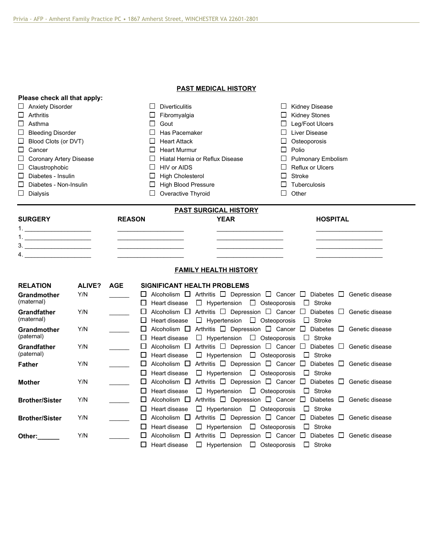**Please check all that apply:**

## **PAST MEDICAL HISTORY**

| <b>Anxiety Disorder</b><br><b>Diverticulitis</b><br>ப<br>ப<br>Arthritis<br>П<br>$\Box$<br>Fibromyalgia<br>Asthma<br>□<br>Gout<br>ப<br>Has Pacemaker<br>□<br><b>Bleeding Disorder</b><br>□<br>Blood Clots (or DVT)<br><b>Heart Attack</b><br>Ш<br>Ш<br>口<br>Cancer<br>П<br><b>Heart Murmur</b><br><b>Coronary Artery Disease</b><br>Ш<br>ப<br><b>HIV or AIDS</b><br>Claustrophobic<br>□<br>Ш<br><b>High Cholesterol</b><br>$\Box$<br>Diabetes - Insulin<br>$\Box$                                 |               | Hiatal Hernia or Reflux Disease | <b>Kidney Disease</b><br>ப<br><b>Kidney Stones</b><br>Leg/Foot Ulcers<br>Liver Disease<br>Osteoporosis<br>ப<br>$\Box$<br>Polio<br>$\Box$<br><b>Pulmonary Embolism</b><br>Reflux or Ulcers<br>П<br><b>Stroke</b><br>П |                                                                                                                                                                                                          |        |                 |  |
|--------------------------------------------------------------------------------------------------------------------------------------------------------------------------------------------------------------------------------------------------------------------------------------------------------------------------------------------------------------------------------------------------------------------------------------------------------------------------------------------------|---------------|---------------------------------|----------------------------------------------------------------------------------------------------------------------------------------------------------------------------------------------------------------------|----------------------------------------------------------------------------------------------------------------------------------------------------------------------------------------------------------|--------|-----------------|--|
| □<br>Diabetes - Non-Insulin                                                                                                                                                                                                                                                                                                                                                                                                                                                                      |               |                                 | П<br><b>High Blood Pressure</b>                                                                                                                                                                                      |                                                                                                                                                                                                          | П      | Tuberculosis    |  |
| □<br><b>Dialysis</b>                                                                                                                                                                                                                                                                                                                                                                                                                                                                             |               |                                 | Overactive Thyroid<br>□                                                                                                                                                                                              |                                                                                                                                                                                                          | $\Box$ | Other           |  |
|                                                                                                                                                                                                                                                                                                                                                                                                                                                                                                  |               |                                 |                                                                                                                                                                                                                      | <b>PAST SURGICAL HISTORY</b>                                                                                                                                                                             |        |                 |  |
| <b>SURGERY</b><br>$\begin{tabular}{c} 1. & \begin{tabular}{@{}c@{}} \multicolumn{3}{@{}c@{}} \multicolumn{3}{@{}c@{}} \multicolumn{3}{@{}c@{}} \multicolumn{3}{@{}c@{}} \multicolumn{3}{@{}c@{}} \multicolumn{3}{@{}c@{}} \multicolumn{3}{@{}c@{}} \multicolumn{3}{@{}c@{}} \multicolumn{3}{@{}c@{}} \multicolumn{3}{@{}c@{}} \multicolumn{3}{@{}c@{}} \multicolumn{3}{@{}c@{}} \multicolumn{3}{@{}c@{}} \multicolumn{3}{@{}c@{}} \multicolumn{3}{@{}c@{}} \$<br>4. <u>_____________________</u> |               | <b>REASON</b>                   |                                                                                                                                                                                                                      | <b>YEAR</b><br><b>FAMILY HEALTH HISTORY</b>                                                                                                                                                              |        | <b>HOSPITAL</b> |  |
|                                                                                                                                                                                                                                                                                                                                                                                                                                                                                                  |               |                                 |                                                                                                                                                                                                                      |                                                                                                                                                                                                          |        |                 |  |
| <b>RELATION</b><br><b>Grandmother</b><br>(maternal)                                                                                                                                                                                                                                                                                                                                                                                                                                              | ALIVE?<br>Y/N | <b>AGE</b>                      | $\Box$ Heart disease                                                                                                                                                                                                 | <b>SIGNIFICANT HEALTH PROBLEMS</b><br>$\Box$ Alcoholism $\Box$ Arthritis $\Box$ Depression $\Box$ Cancer $\Box$ Diabetes $\Box$ Genetic disease<br>$\Box$ Hypertension $\Box$ Osteoporosis $\Box$ Stroke |        |                 |  |
| Grandfather<br>(maternal)                                                                                                                                                                                                                                                                                                                                                                                                                                                                        | Y/N           |                                 | □<br>Heart disease<br>Ш                                                                                                                                                                                              | Alcoholism □ Arthritis □ Depression □ Cancer □ Diabetes □ Genetic disease<br>$\Box$ Hypertension $\Box$ Osteoporosis $\Box$ Stroke                                                                       |        |                 |  |
| Grandmother<br>(paternal)                                                                                                                                                                                                                                                                                                                                                                                                                                                                        | Y/N           |                                 | □<br>□<br>Heart disease                                                                                                                                                                                              | Alcoholism $\Box$ Arthritis $\Box$ Depression $\Box$ Cancer $\Box$ Diabetes $\Box$ Genetic disease<br>$\Box$ Hypertension $\Box$ Osteoporosis $\Box$ Stroke                                              |        |                 |  |
| <b>Grandfather</b><br>(paternal)                                                                                                                                                                                                                                                                                                                                                                                                                                                                 | Y/N           |                                 | П<br>Heart disease<br>Ш                                                                                                                                                                                              | Alcoholism $\Box$ Arthritis $\Box$ Depression $\Box$ Cancer $\Box$ Diabetes $\Box$ Genetic disease<br>$\Box$ Hypertension $\Box$ Osteoporosis                                                            |        | $\Box$ Stroke   |  |
| <b>Father</b>                                                                                                                                                                                                                                                                                                                                                                                                                                                                                    | Y/N           |                                 | □<br>Heart disease<br>ப                                                                                                                                                                                              | Alcoholism $\Box$ Arthritis $\Box$ Depression $\Box$ Cancer $\Box$ Diabetes $\Box$ Genetic disease<br>$\Box$ Hypertension $\Box$ Osteoporosis $\Box$ Stroke                                              |        |                 |  |
| <b>Mother</b>                                                                                                                                                                                                                                                                                                                                                                                                                                                                                    | Y/N           |                                 | ப<br>Heart disease<br>□                                                                                                                                                                                              | Alcoholism $\Box$ Arthritis $\Box$ Depression $\Box$ Cancer $\Box$ Diabetes $\Box$ Genetic disease<br>$\Box$ Hypertension $\Box$ Osteoporosis                                                            |        | $\Box$ Stroke   |  |
| <b>Brother/Sister</b>                                                                                                                                                                                                                                                                                                                                                                                                                                                                            | Y/N           |                                 | Ш<br>Heart disease<br>ப                                                                                                                                                                                              | Alcoholism $\Box$ Arthritis $\Box$ Depression $\Box$ Cancer $\Box$ Diabetes $\Box$ Genetic disease<br>$\Box$ Hypertension $\Box$ Osteoporosis                                                            |        | $\Box$ Stroke   |  |
| <b>Brother/Sister</b>                                                                                                                                                                                                                                                                                                                                                                                                                                                                            | Y/N           |                                 | ப<br>Heart disease<br>Ш                                                                                                                                                                                              | Alcoholism $\Box$ Arthritis $\Box$ Depression $\Box$ Cancer $\Box$ Diabetes $\Box$ Genetic disease<br>$\Box$ Hypertension $\Box$ Osteoporosis                                                            |        | $\Box$ Stroke   |  |
| Other:                                                                                                                                                                                                                                                                                                                                                                                                                                                                                           | Y/N           |                                 | ப<br>П<br>Heart disease                                                                                                                                                                                              | Alcoholism $\Box$ Arthritis $\Box$ Depression $\Box$ Cancer $\Box$ Diabetes $\Box$ Genetic disease<br>$\Box$ Hypertension $\Box$ Osteoporosis                                                            |        | $\Box$ Stroke   |  |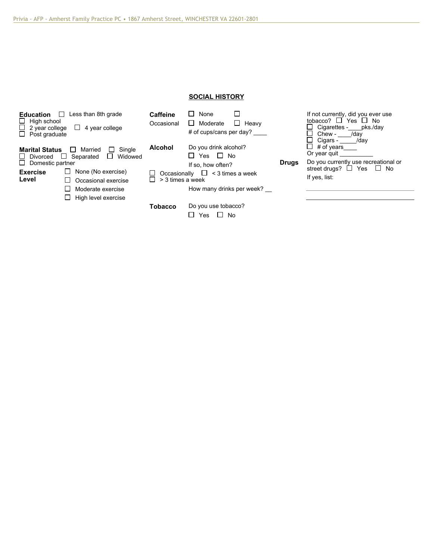# **SOCIAL HISTORY**

| Less than 8th grade<br>Education<br>ப<br>High school<br>ப<br>2 year college<br>$\Box$ 4 year college<br>$\Box$ Post graduate              | <b>Caffeine</b><br>Occasional | $\Box$ None<br>$\Box$ Heavy<br>$\Box$ Moderate<br># of cups/cans per day? |              | If not currently, did you ever use<br>tobacco? $\square$ Yes $\square$ No<br>$\Box$ Cigarettes - pks./day<br>Chew -<br>/day<br>П<br>Cigars -<br>/day |  |
|-------------------------------------------------------------------------------------------------------------------------------------------|-------------------------------|---------------------------------------------------------------------------|--------------|------------------------------------------------------------------------------------------------------------------------------------------------------|--|
| Single<br><b>Marital Status</b><br>Married<br>ப<br>$\Box$<br>□<br>Widowed<br>Separated<br>$\Box$ Divorced<br>ப<br>$\Box$ Domestic partner | <b>Alcohol</b>                | Do you drink alcohol?<br>$\Box$ Yes $\Box$ No<br>If so, how often?        | <b>Drugs</b> | $\Box$<br># of years<br>Or year guit<br>Do you currently use recreational or                                                                         |  |
| None (No exercise)<br><b>Exercise</b><br>ப<br>Level<br>Occasional exercise<br>ப<br>Moderate exercise<br>High level exercise<br>ப          | П<br>> 3 times a week         | Occasionally $\Box$ < 3 times a week<br>How many drinks per week?         |              | street drugs? $\Box$ Yes<br>$\Box$ No<br>If yes, list:                                                                                               |  |
|                                                                                                                                           | <b>Tobacco</b>                | Do you use tobacco?<br>$\Box$ No<br>Yes<br>l I                            |              |                                                                                                                                                      |  |